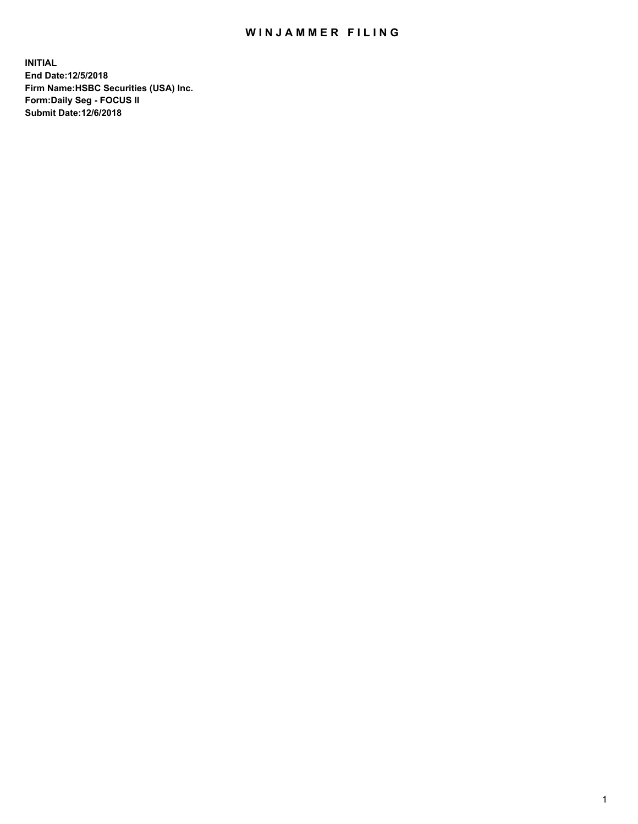## WIN JAMMER FILING

**INITIAL End Date:12/5/2018 Firm Name:HSBC Securities (USA) Inc. Form:Daily Seg - FOCUS II Submit Date:12/6/2018**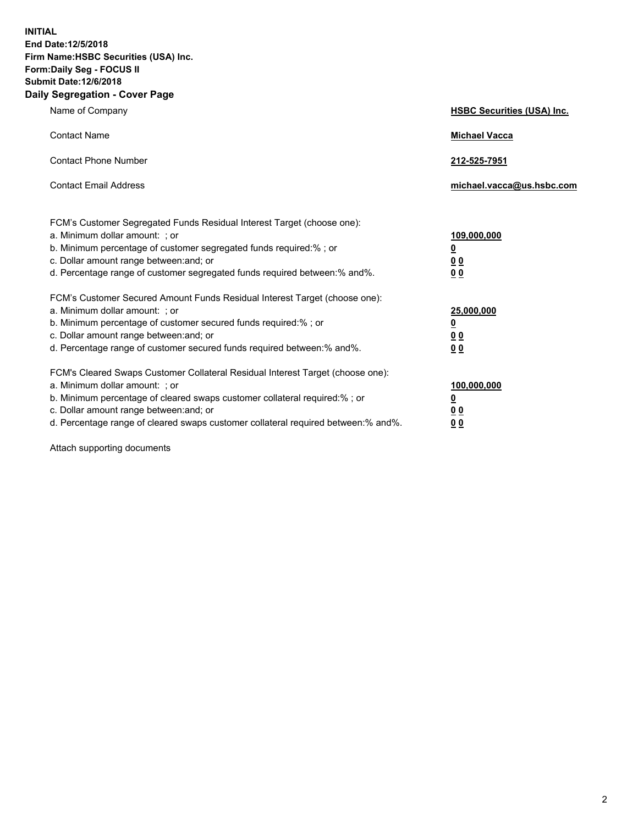**INITIAL End Date:12/5/2018 Firm Name:HSBC Securities (USA) Inc. Form:Daily Seg - FOCUS II Submit Date:12/6/2018 Daily Segregation - Cover Page**

| Name of Company                                                                                                                                                                                                                                                                                                                | <b>HSBC Securities (USA) Inc.</b>                                          |
|--------------------------------------------------------------------------------------------------------------------------------------------------------------------------------------------------------------------------------------------------------------------------------------------------------------------------------|----------------------------------------------------------------------------|
| <b>Contact Name</b>                                                                                                                                                                                                                                                                                                            | <b>Michael Vacca</b>                                                       |
| <b>Contact Phone Number</b>                                                                                                                                                                                                                                                                                                    | 212-525-7951                                                               |
| <b>Contact Email Address</b>                                                                                                                                                                                                                                                                                                   | michael.vacca@us.hsbc.com                                                  |
| FCM's Customer Segregated Funds Residual Interest Target (choose one):<br>a. Minimum dollar amount: : or<br>b. Minimum percentage of customer segregated funds required:% ; or<br>c. Dollar amount range between: and; or<br>d. Percentage range of customer segregated funds required between:% and%.                         | 109,000,000<br>$\overline{\mathbf{0}}$<br>0 <sub>0</sub><br>0 <sub>0</sub> |
| FCM's Customer Secured Amount Funds Residual Interest Target (choose one):<br>a. Minimum dollar amount: ; or<br>b. Minimum percentage of customer secured funds required:%; or<br>c. Dollar amount range between: and; or<br>d. Percentage range of customer secured funds required between:% and%.                            | 25,000,000<br>$\overline{\mathbf{0}}$<br>0 <sub>0</sub><br>0 <sub>0</sub>  |
| FCM's Cleared Swaps Customer Collateral Residual Interest Target (choose one):<br>a. Minimum dollar amount: ; or<br>b. Minimum percentage of cleared swaps customer collateral required:% ; or<br>c. Dollar amount range between: and; or<br>d. Percentage range of cleared swaps customer collateral required between:% and%. | 100,000,000<br>$\overline{\mathbf{0}}$<br>0 <sub>0</sub><br>0 <sub>0</sub> |

Attach supporting documents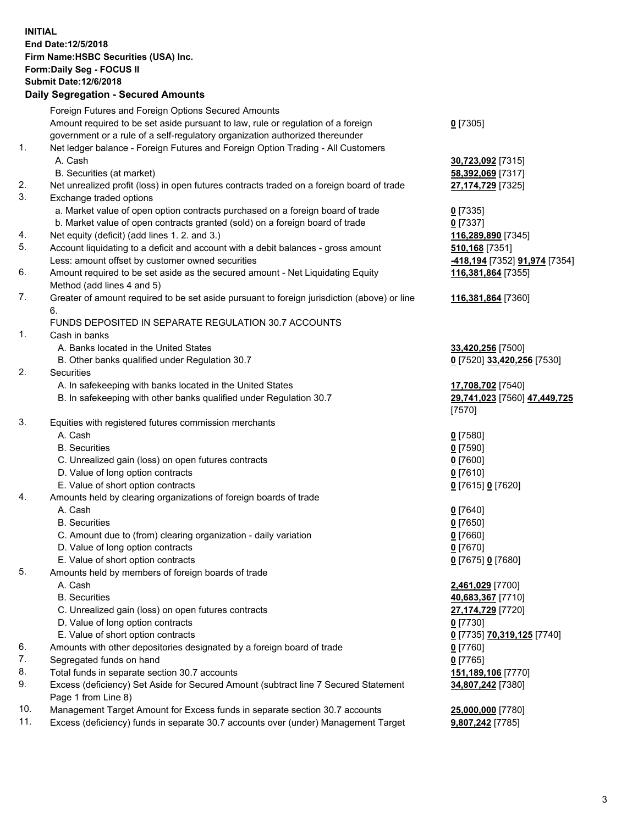**INITIAL End Date:12/5/2018 Firm Name:HSBC Securities (USA) Inc. Form:Daily Seg - FOCUS II Submit Date:12/6/2018 Daily Segregation - Secured Amounts** Foreign Futures and Foreign Options Secured Amounts Amount required to be set aside pursuant to law, rule or regulation of a foreign government or a rule of a self-regulatory organization authorized thereunder **0** [7305] 1. Net ledger balance - Foreign Futures and Foreign Option Trading - All Customers A. Cash **30,723,092** [7315] B. Securities (at market) **58,392,069** [7317] 2. Net unrealized profit (loss) in open futures contracts traded on a foreign board of trade **27,174,729** [7325] 3. Exchange traded options a. Market value of open option contracts purchased on a foreign board of trade **0** [7335] b. Market value of open contracts granted (sold) on a foreign board of trade **0** [7337] 4. Net equity (deficit) (add lines 1. 2. and 3.) **116,289,890** [7345] 5. Account liquidating to a deficit and account with a debit balances - gross amount **510,168** [7351] Less: amount offset by customer owned securities **-418,194** [7352] **91,974** [7354] 6. Amount required to be set aside as the secured amount - Net Liquidating Equity Method (add lines 4 and 5) **116,381,864** [7355] 7. Greater of amount required to be set aside pursuant to foreign jurisdiction (above) or line 6. **116,381,864** [7360] FUNDS DEPOSITED IN SEPARATE REGULATION 30.7 ACCOUNTS 1. Cash in banks A. Banks located in the United States **33,420,256** [7500] B. Other banks qualified under Regulation 30.7 **0** [7520] **33,420,256** [7530] 2. Securities A. In safekeeping with banks located in the United States **17,708,702** [7540] B. In safekeeping with other banks qualified under Regulation 30.7 **29,741,023** [7560] **47,449,725** [7570] 3. Equities with registered futures commission merchants A. Cash **0** [7580] B. Securities **0** [7590] C. Unrealized gain (loss) on open futures contracts **0** [7600] D. Value of long option contracts **0** [7610] E. Value of short option contracts **0** [7615] **0** [7620] 4. Amounts held by clearing organizations of foreign boards of trade A. Cash **0** [7640] B. Securities **0** [7650] C. Amount due to (from) clearing organization - daily variation **0** [7660] D. Value of long option contracts **0** [7670] E. Value of short option contracts **0** [7675] **0** [7680] 5. Amounts held by members of foreign boards of trade A. Cash **2,461,029** [7700] B. Securities **40,683,367** [7710] C. Unrealized gain (loss) on open futures contracts **27,174,729** [7720] D. Value of long option contracts **0** [7730] E. Value of short option contracts **0** [7735] **70,319,125** [7740] 6. Amounts with other depositories designated by a foreign board of trade **0** [7760] 7. Segregated funds on hand **0** [7765] 8. Total funds in separate section 30.7 accounts **151,189,106** [7770] 9. Excess (deficiency) Set Aside for Secured Amount (subtract line 7 Secured Statement Page 1 from Line 8) **34,807,242** [7380]

10. Management Target Amount for Excess funds in separate section 30.7 accounts **25,000,000** [7780]

11. Excess (deficiency) funds in separate 30.7 accounts over (under) Management Target **9,807,242** [7785]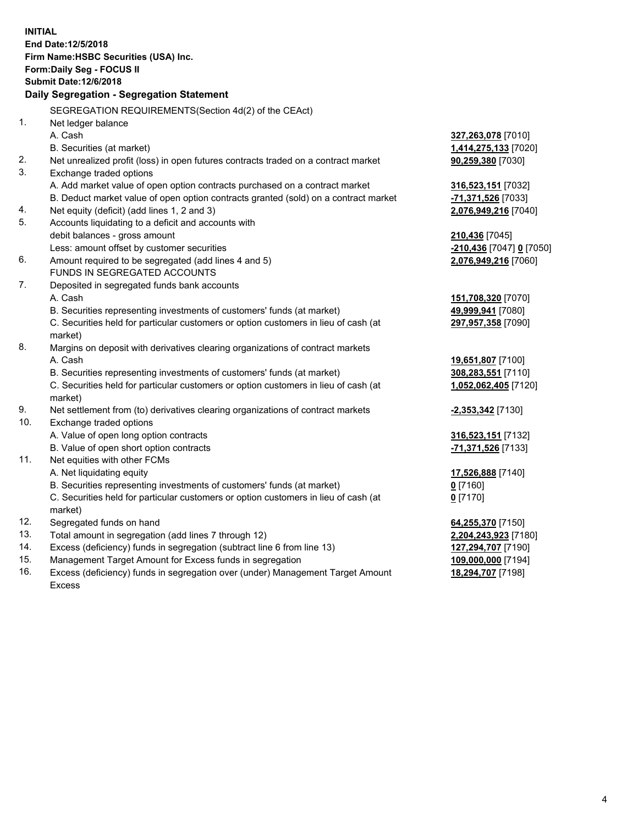|            | <b>INITIAL</b>                                                                      |                                        |
|------------|-------------------------------------------------------------------------------------|----------------------------------------|
|            | End Date: 12/5/2018                                                                 |                                        |
|            | Firm Name: HSBC Securities (USA) Inc.                                               |                                        |
|            | Form: Daily Seg - FOCUS II                                                          |                                        |
|            | <b>Submit Date: 12/6/2018</b>                                                       |                                        |
|            | Daily Segregation - Segregation Statement                                           |                                        |
|            | SEGREGATION REQUIREMENTS(Section 4d(2) of the CEAct)                                |                                        |
| 1.         | Net ledger balance                                                                  |                                        |
|            | A. Cash                                                                             | 327,263,078 [7010]                     |
|            | B. Securities (at market)                                                           | 1,414,275,133 [7020]                   |
| 2.         | Net unrealized profit (loss) in open futures contracts traded on a contract market  | 90,259,380 [7030]                      |
| 3.         | Exchange traded options                                                             |                                        |
|            | A. Add market value of open option contracts purchased on a contract market         | 316,523,151 [7032]                     |
|            | B. Deduct market value of open option contracts granted (sold) on a contract market | -71,371,526 [7033]                     |
| 4.         | Net equity (deficit) (add lines 1, 2 and 3)                                         | 2,076,949,216 [7040]                   |
| 5.         | Accounts liquidating to a deficit and accounts with                                 |                                        |
|            | debit balances - gross amount                                                       | 210,436 [7045]                         |
|            | Less: amount offset by customer securities                                          | <u>-210,436</u> [7047] <u>0</u> [7050] |
| 6.         | Amount required to be segregated (add lines 4 and 5)                                | 2,076,949,216 [7060]                   |
|            | FUNDS IN SEGREGATED ACCOUNTS                                                        |                                        |
| 7.         | Deposited in segregated funds bank accounts                                         |                                        |
|            | A. Cash                                                                             | 151,708,320 [7070]                     |
|            | B. Securities representing investments of customers' funds (at market)              | 49,999,941 [7080]                      |
|            | C. Securities held for particular customers or option customers in lieu of cash (at | 297,957,358 [7090]                     |
|            | market)                                                                             |                                        |
| 8.         | Margins on deposit with derivatives clearing organizations of contract markets      |                                        |
|            | A. Cash                                                                             | 19,651,807 [7100]                      |
|            | B. Securities representing investments of customers' funds (at market)              | 308,283,551 [7110]                     |
|            | C. Securities held for particular customers or option customers in lieu of cash (at | 1,052,062,405 [7120]                   |
|            | market)                                                                             |                                        |
| 9.         | Net settlement from (to) derivatives clearing organizations of contract markets     | <b>-2,353,342</b> [7130]               |
| 10.        | Exchange traded options                                                             |                                        |
|            | A. Value of open long option contracts                                              | 316,523,151 [7132]                     |
|            | B. Value of open short option contracts                                             | -71,371,526 [7133]                     |
| 11.        | Net equities with other FCMs                                                        |                                        |
|            | A. Net liquidating equity                                                           | 17,526,888 [7140]                      |
|            | B. Securities representing investments of customers' funds (at market)              | $0$ [7160]                             |
|            | C. Securities held for particular customers or option customers in lieu of cash (at | $0$ [7170]                             |
|            | market)                                                                             |                                        |
| 12.        | Segregated funds on hand                                                            | 64,255,370 [7150]                      |
| 13.        | Total amount in segregation (add lines 7 through 12)                                | 2,204,243,923 [7180]                   |
| 14.<br>15. | Excess (deficiency) funds in segregation (subtract line 6 from line 13)             | 127,294,707 [7190]                     |
| 16.        | Management Target Amount for Excess funds in segregation                            | 109,000,000 [7194]                     |
|            | Excess (deficiency) funds in segregation over (under) Management Target Amount      | 18,294,707 [7198]                      |

16. Excess (deficiency) funds in segregation over (under) Management Target Amount Excess